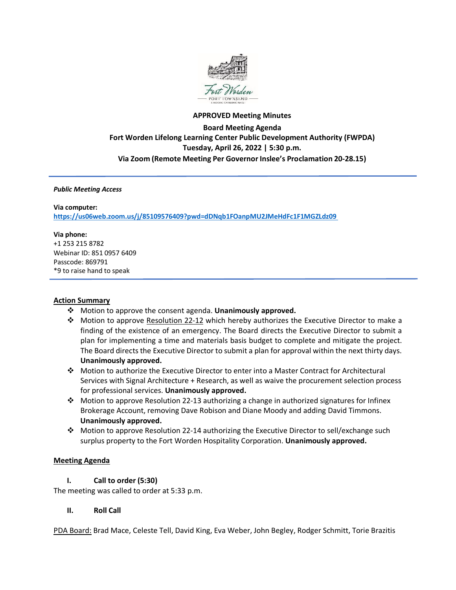

# **APPROVED Meeting Minutes Board Meeting Agenda Fort Worden Lifelong Learning Center Public Development Authority (FWPDA) Tuesday, April 26, 2022 | 5:30 p.m. Via Zoom (Remote Meeting Per Governor Inslee's Proclamation 20-28.15)**

#### *Public Meeting Access*

#### **Via computer:**

**<https://us06web.zoom.us/j/85109576409?pwd=dDNqb1FOanpMU2JMeHdFc1F1MGZLdz09>**

#### **Via phone:**

+1 253 215 8782 Webinar ID: 851 0957 6409 Passcode: 869791 \*9 to raise hand to speak

#### **Action Summary**

- Motion to approve the consent agenda. **Unanimously approved.**
- Motion to approve Resolution 22-12 which hereby authorizes the Executive Director to make a finding of the existence of an emergency. The Board directs the Executive Director to submit a plan for implementing a time and materials basis budget to complete and mitigate the project. The Board directs the Executive Director to submit a plan for approval within the next thirty days. **Unanimously approved.**
- Motion to authorize the Executive Director to enter into a Master Contract for Architectural Services with Signal Architecture + Research, as well as waive the procurement selection process for professional services. **Unanimously approved.**
- Motion to approve Resolution 22-13 authorizing a change in authorized signatures for Infinex Brokerage Account, removing Dave Robison and Diane Moody and adding David Timmons. **Unanimously approved.**
- Motion to approve Resolution 22-14 authorizing the Executive Director to sell/exchange such surplus property to the Fort Worden Hospitality Corporation. **Unanimously approved.**

#### **Meeting Agenda**

#### **I. Call to order (5:30)**

The meeting was called to order at 5:33 p.m.

#### **II. Roll Call**

PDA Board: Brad Mace, Celeste Tell, David King, Eva Weber, John Begley, Rodger Schmitt, Torie Brazitis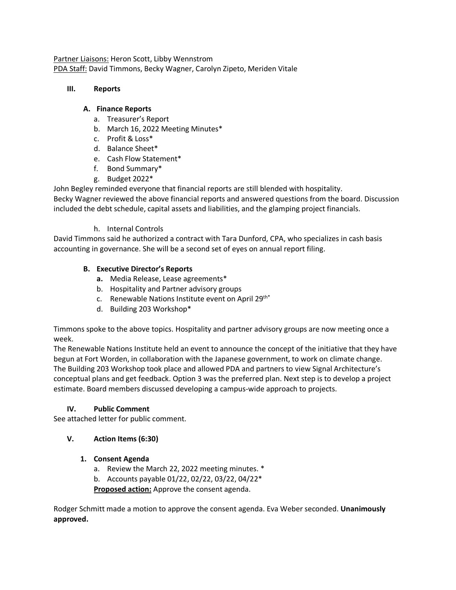Partner Liaisons: Heron Scott, Libby Wennstrom PDA Staff: David Timmons, Becky Wagner, Carolyn Zipeto, Meriden Vitale

### **III. Reports**

### **A. Finance Reports**

- a. Treasurer's Report
- b. March 16, 2022 Meeting Minutes\*
- c. Profit & Loss\*
- d. Balance Sheet\*
- e. Cash Flow Statement\*
- f. Bond Summary\*
- g. Budget 2022\*

John Begley reminded everyone that financial reports are still blended with hospitality.

Becky Wagner reviewed the above financial reports and answered questions from the board. Discussion included the debt schedule, capital assets and liabilities, and the glamping project financials.

h. Internal Controls

David Timmons said he authorized a contract with Tara Dunford, CPA, who specializes in cash basis accounting in governance. She will be a second set of eyes on annual report filing.

## **B. Executive Director's Reports**

- **a.** Media Release, Lease agreements\*
- b. Hospitality and Partner advisory groups
- c. Renewable Nations Institute event on April 29th\*
- d. Building 203 Workshop\*

Timmons spoke to the above topics. Hospitality and partner advisory groups are now meeting once a week.

The Renewable Nations Institute held an event to announce the concept of the initiative that they have begun at Fort Worden, in collaboration with the Japanese government, to work on climate change. The Building 203 Workshop took place and allowed PDA and partners to view Signal Architecture's conceptual plans and get feedback. Option 3 was the preferred plan. Next step is to develop a project estimate. Board members discussed developing a campus-wide approach to projects.

## **IV. Public Comment**

See attached letter for public comment.

## **V. Action Items (6:30)**

## **1. Consent Agenda**

- a. Review the March 22, 2022 meeting minutes. \*
- b. Accounts payable 01/22, 02/22, 03/22, 04/22\*

**Proposed action:** Approve the consent agenda.

Rodger Schmitt made a motion to approve the consent agenda. Eva Weber seconded. **Unanimously approved.**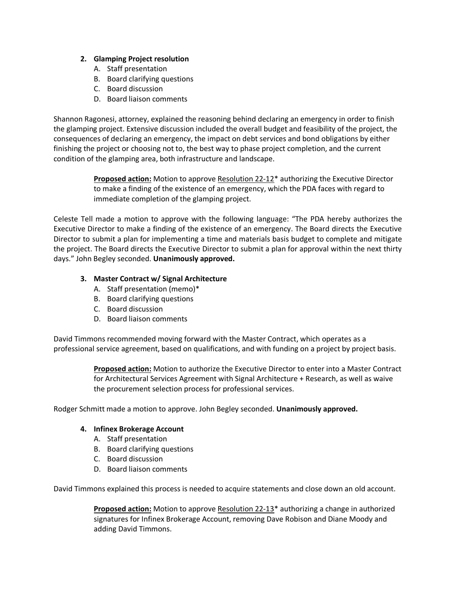### **2. Glamping Project resolution**

- A. Staff presentation
- B. Board clarifying questions
- C. Board discussion
- D. Board liaison comments

Shannon Ragonesi, attorney, explained the reasoning behind declaring an emergency in order to finish the glamping project. Extensive discussion included the overall budget and feasibility of the project, the consequences of declaring an emergency, the impact on debt services and bond obligations by either finishing the project or choosing not to, the best way to phase project completion, and the current condition of the glamping area, both infrastructure and landscape.

> **Proposed action:** Motion to approve Resolution 22-12\* authorizing the Executive Director to make a finding of the existence of an emergency, which the PDA faces with regard to immediate completion of the glamping project.

Celeste Tell made a motion to approve with the following language: "The PDA hereby authorizes the Executive Director to make a finding of the existence of an emergency. The Board directs the Executive Director to submit a plan for implementing a time and materials basis budget to complete and mitigate the project. The Board directs the Executive Director to submit a plan for approval within the next thirty days." John Begley seconded. **Unanimously approved.**

### **3. Master Contract w/ Signal Architecture**

- A. Staff presentation (memo)\*
- B. Board clarifying questions
- C. Board discussion
- D. Board liaison comments

David Timmons recommended moving forward with the Master Contract, which operates as a professional service agreement, based on qualifications, and with funding on a project by project basis.

> **Proposed action:** Motion to authorize the Executive Director to enter into a Master Contract for Architectural Services Agreement with Signal Architecture + Research, as well as waive the procurement selection process for professional services.

Rodger Schmitt made a motion to approve. John Begley seconded. **Unanimously approved.**

#### **4. Infinex Brokerage Account**

- A. Staff presentation
- B. Board clarifying questions
- C. Board discussion
- D. Board liaison comments

David Timmons explained this process is needed to acquire statements and close down an old account.

**Proposed action:** Motion to approve Resolution 22-13\* authorizing a change in authorized signatures for Infinex Brokerage Account, removing Dave Robison and Diane Moody and adding David Timmons.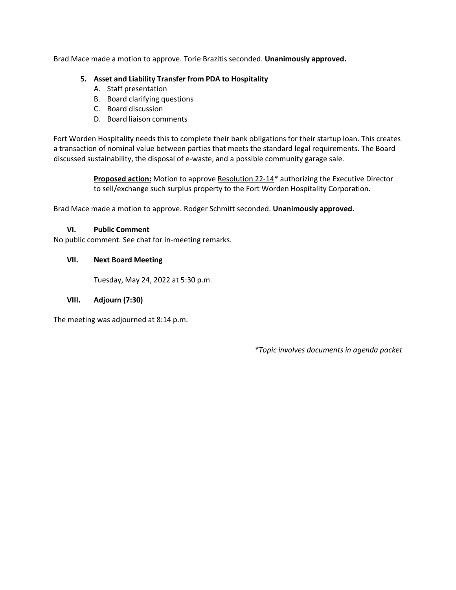Brad Mace made a motion to approve. Torie Brazitis seconded. **Unanimously approved.**

### **5. Asset and Liability Transfer from PDA to Hospitality**

- A. Staff presentation
- B. Board clarifying questions
- C. Board discussion
- D. Board liaison comments

Fort Worden Hospitality needs this to complete their bank obligations for their startup loan. This creates a transaction of nominal value between parties that meets the standard legal requirements. The Board discussed sustainability, the disposal of e-waste, and a possible community garage sale.

> **Proposed action:** Motion to approve Resolution 22-14\* authorizing the Executive Director to sell/exchange such surplus property to the Fort Worden Hospitality Corporation.

Brad Mace made a motion to approve. Rodger Schmitt seconded. **Unanimously approved.**

### **VI. Public Comment**

No public comment. See chat for in-meeting remarks.

### **VII. Next Board Meeting**

Tuesday, May 24, 2022 at 5:30 p.m.

## **VIII. Adjourn (7:30)**

The meeting was adjourned at 8:14 p.m.

*\*Topic involves documents in agenda packet*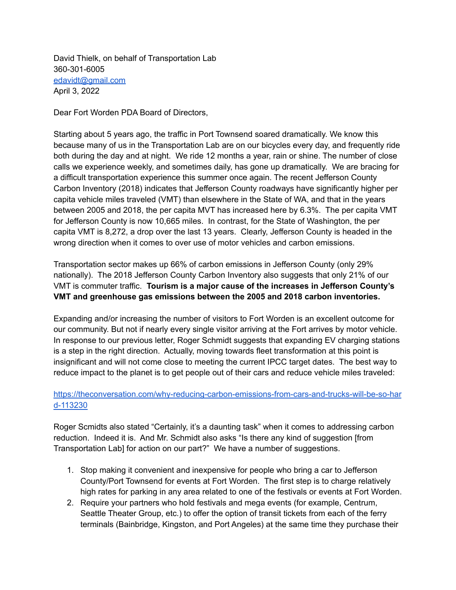David Thielk, on behalf of Transportation Lab 360-301-6005 [edavidt@gmail.com](mailto:edavidt@gmail.com) April 3, 2022

Dear Fort Worden PDA Board of Directors,

Starting about 5 years ago, the traffic in Port Townsend soared dramatically. We know this because many of us in the Transportation Lab are on our bicycles every day, and frequently ride both during the day and at night. We ride 12 months a year, rain or shine. The number of close calls we experience weekly, and sometimes daily, has gone up dramatically. We are bracing for a difficult transportation experience this summer once again. The recent Jefferson County Carbon Inventory (2018) indicates that Jefferson County roadways have significantly higher per capita vehicle miles traveled (VMT) than elsewhere in the State of WA, and that in the years between 2005 and 2018, the per capita MVT has increased here by 6.3%. The per capita VMT for Jefferson County is now 10,665 miles. In contrast, for the State of Washington, the per capita VMT is 8,272, a drop over the last 13 years. Clearly, Jefferson County is headed in the wrong direction when it comes to over use of motor vehicles and carbon emissions.

Transportation sector makes up 66% of carbon emissions in Jefferson County (only 29% nationally). The 2018 Jefferson County Carbon Inventory also suggests that only 21% of our VMT is commuter traffic. **Tourism is a major cause of the increases in Jefferson County's VMT and greenhouse gas emissions between the 2005 and 2018 carbon inventories.**

Expanding and/or increasing the number of visitors to Fort Worden is an excellent outcome for our community. But not if nearly every single visitor arriving at the Fort arrives by motor vehicle. In response to our previous letter, Roger Schmidt suggests that expanding EV charging stations is a step in the right direction. Actually, moving towards fleet transformation at this point is insignificant and will not come close to meeting the current IPCC target dates. The best way to reduce impact to the planet is to get people out of their cars and reduce vehicle miles traveled:

# [https://theconversation.com/why-reducing-carbon-emissions-from-cars-and-trucks-will-be-so-har](https://theconversation.com/why-reducing-carbon-emissions-from-cars-and-trucks-will-be-so-hard-113230) [d-113230](https://theconversation.com/why-reducing-carbon-emissions-from-cars-and-trucks-will-be-so-hard-113230)

Roger Scmidts also stated "Certainly, it's a daunting task" when it comes to addressing carbon reduction. Indeed it is. And Mr. Schmidt also asks "Is there any kind of suggestion [from Transportation Lab] for action on our part?" We have a number of suggestions.

- 1. Stop making it convenient and inexpensive for people who bring a car to Jefferson County/Port Townsend for events at Fort Worden. The first step is to charge relatively high rates for parking in any area related to one of the festivals or events at Fort Worden.
- 2. Require your partners who hold festivals and mega events (for example, Centrum, Seattle Theater Group, etc.) to offer the option of transit tickets from each of the ferry terminals (Bainbridge, Kingston, and Port Angeles) at the same time they purchase their